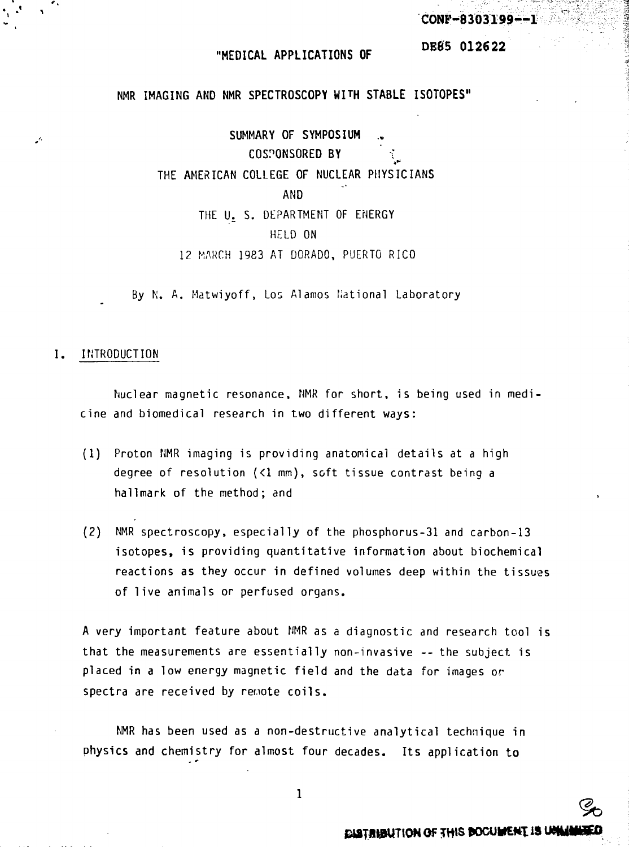**CONF-8303199—1**

**DE65 012622**

### **"MEDICAL APPLICATIONS OF**

NMR **IMAGING** AND NMR **SPECTROSCOPY WITH STABLE ISOTOPES"**

SUMMARY OF SYMPOSIUM COSPONSORED BY THE AMERICAN COLLEGE OF NUCLEAR PHYSICIANS AND THE U. S. DEPARTMENT OF ENERGY HELD ON 12 MARCH 1983 AT DORADO, PUERTO RICO

By N. A. Matwiyoff, Los Alamos fiational Laboratory

### I. INTRODUCTION

Nuclear magnetic resonance, NMR for short, is being used in medicine and biomedical research in two different ways:

- (1) Proton NMR imaging is providing anatomical details at a high degree of resolution  $(1 \text{ mm})$ , soft tissue contrast being a hallmark of the method; and
- (2) NMR spectroscopy, especially of the phosphorus-31 and carbon-13 isotopes, is providing quantitative information about biochemical reactions as they occur in defined volumes deep within the tissues of live animals or perfused organs.

A very important feature about NMR as a diagnostic and research tool is that the measurements are essentially non-invasive -- the subject is placed in a low energy magnetic field and the data for images or spectra are received by remote coils.

NMR has been used as a non-destructive analytical technique in physics and chemistry for almost four decades. Its application to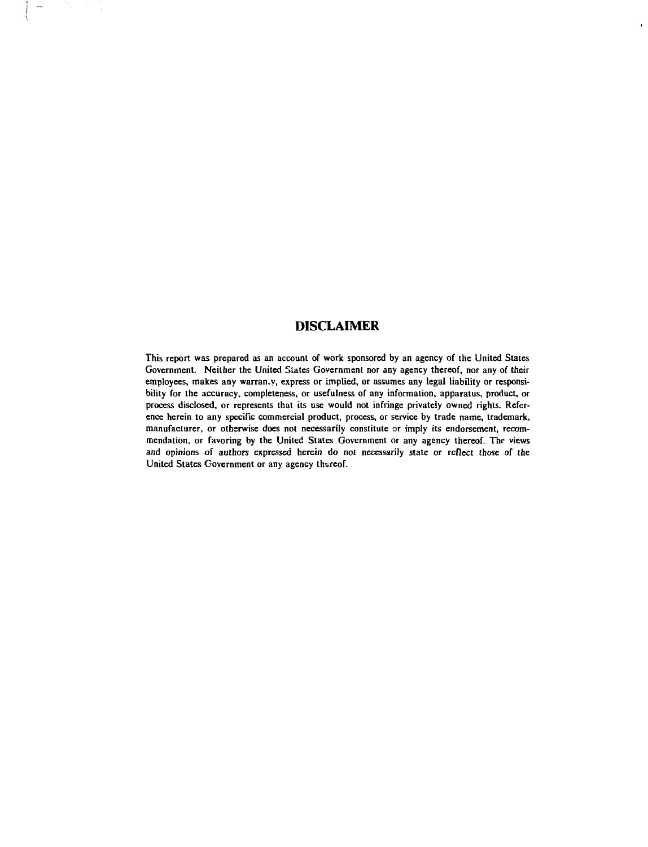# **DISCLAIMER**

This report was prepared as an account of work sponsored by an agency of the United Stales Government. Neither the United States Government nor any agency thereof, nor any of their employees, makes any warran.y, express or implied, or assumes any legal liability or responsibility for the accuracy, completeness, or usefulness of any information, apparatus, product, or process disclosed, or represents that its use would not infringe privately owned rights. Reference herein to any specific commercial product, process, or service by trade name, trademark, manufacturer, or otherwise does not necessarily constitute or imply its endorsement, recommendation, or favoring by the United States Government or any agency thereof. The views and opinions of authors expressed herein do not necessarily state or reflect those of the United States Government or any agency thereof.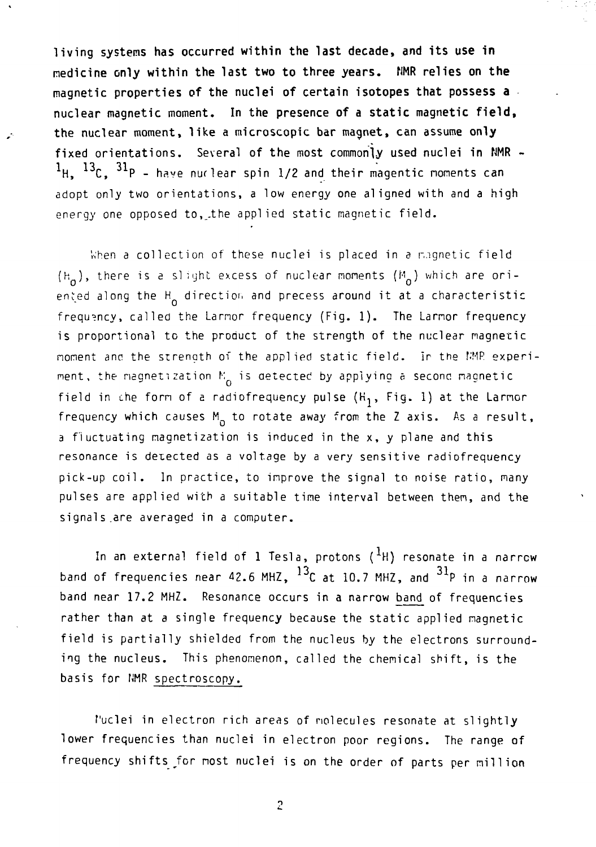**living systems has occurred within the last decade, and its use in medicine only within the last two to three years. NMR relies on the magnetic properties of the nuclei of certain isotopes that possess a** nuclear magnetic moment. **In** the **presence of a static magnetic field,** the nuclear moment, like a microscopic **bar** magnet, can assume **only** fixed orientations. Several of the most commonly used nuclei in NMR - $1_{\text{H}}$ ,  $13_{\text{C}}$ ,  $31_{\text{P}}$  - have nuclear spin 1/2 and their magentic noments can adopt only two orientations, a low energy one aligned with and a high energy one opposed to, the applied static magnetic field.

When a collection of these nuclei is placed in a magnetic field  $(h_n)$ , there is a slight excess of nuclear moments  $(h_n)$  which are oriented along the H<sub>o</sub> direction and precess around it at a characteristic frequency, called the Larmor frequency (Fig. 1). The Larmor frequency is proportional to the product of the strength of the nuclear magnetic nornent anc the strength of the applied static field. Ir the NMP experiment, the magnetization  $K_{\alpha}$  is detected by applying a second magnetic field in the form of a radiofrequency pulse  $(K_1, Fig. 1)$  at the Larmor frequency which causes  $M_{\odot}$  to rotate away from the Z axis. As a result, a fluctuating magnetization is induced in the x, y plane and this resonance is detected as a voltage by a very sensitive radiofrequency pick-up coil. In practice, to improve the signal to noise ratio, many pulses are applied with a suitable time interval between then, and the signals.are averaged in a computer.

In an external field of 1 Tesla, protons  $({}^{1}H)$  resonate in a narrow band of frequencies near 42.6 MHZ, <sup>13</sup>C at 10.7 MHZ, and <sup>31</sup>P in a narrow band near 17.2 MHZ. Resonance occurs in a narrow band of frequencies rather than at a single frequency because the static applied magnetic field is partially shielded from the nucleus by the electrons surrounding the nucleus. This phenomenon, called the chemical shift, is the basis for NMR spectroscopy.

f'uclei in electron rich areas of molecules resonate at slightly lower frequencies than nuclei in electron poor regions. The range of frequency shifts for most nuclei is on the order of parts per million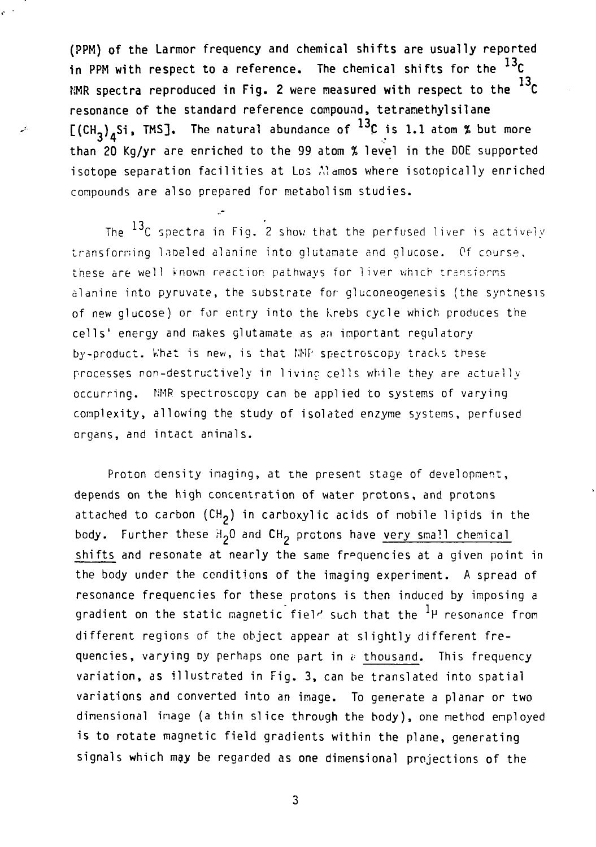**(PPM) of the Larmor frequency and chemical shifts are usually reported** in PPM with respect to a reference. The chemical shifts for the <sup>ere</sup>C **13,. NMR spectra reproduced in Fig. 2 were measured with respect to the resonance of the standard reference compound, tetranethylsilane** <code>[(CH<sub>3</sub>) $_A$ Si, TMS]. The natural abundance of ''C is 1.1 atom % but more</code> **than 20 Kg/yr** are enriched to the 99 atom % **level in** the DOE **supported** isotope separation facilities at Los Alamos where isotopically enriched compounds are also prepared for metabolism studies.

À.

لتنمي

The  $^{13}$ C spectra in Fig. 2 show that the perfused liver is actively transforming labeled alanine into glutamate and glucose. Of course, these are well known reaction pathways for liver which transforms alanine into pyruvate, the substrate for gluconeogenesis (the synthesis of new glucose) or for entry into the Krebs cycle which produces the cells' energy and makes glutamate as an important regulatory by-product. What is new, is that NMP spectroscopy tracks these processes non-destructively in livinc cells while they are actually occurring. NMP. spectroscopy can be applied to systems of varying complexity, allowing the study of isolated enzyme systems, perfused organs, and intact animals.

Proton density imaging, at the present stage of development, depends on the high concentration of water protons, and protons attached to carbon  $(CH<sub>2</sub>)$  in carboxylic acids of mobile lipids in the body. Further these H<sub>2</sub>0 and CH<sub>2</sub> protons have very small chemical shifts and resonate at nearly the same frequencies at a given point in the body under the conditions of the imaging experiment. A spread of resonance frequencies for these protons is then induced by imposing a gradient on the static magnetic field such that the  ${}^{1}$  P resonance from different regions of the object appear at slightly different frequencies, varying by perhaps one part in  $\epsilon$  thousand. This frequency variation, as illustrated in Fig. 3, can be translated into spatial variations and converted into an image. To generate a planar or two dimensional image (a thin slice through the body), one method employed is to rotate magnetic field gradients within the plane, generating signals which may be regarded as one dimensional projections of the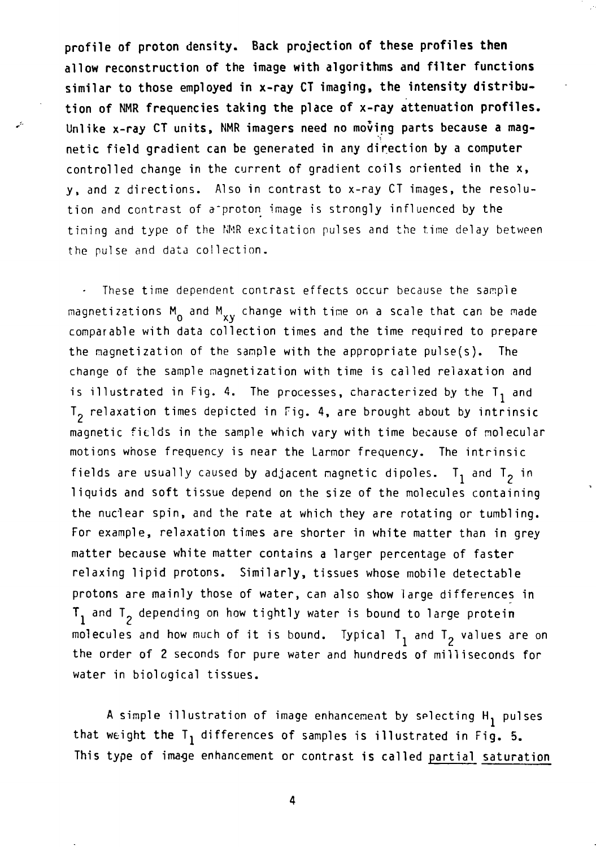**profile of proton density. Back projection of these profiles then allow reconstruction of the image with algorithms and filter functions similar to those employed in x-ray CT imaging, the intensity distribution of NMR frequencies taking the place of x-ray attenuation profiles.** Unlike x-ray CT units, NMR **imagers need no moving parts because a** magnetic field gradient can be generated **in** any direction **by** a computer controlled change in the current of gradient coils oriented in the x, y, and z directions. Also in contrast to x-ray CT images, the resolution and contrast of a'proton image is strongly influenced by the timing and type of the NMR excitation pulses and the time delay between the pulse and data collection.

These time dependent contrast effects occur because the sample magnetizations  $M_0$  and  $M_{xy}$  change with time on a scale that can be made comparable with data collection times and the time required to prepare the magnetization of the sample with the appropriate pulse(s). The change of the sample magnetization with time is called relaxation and is illustrated in Fig. 4. The processes, characterized by the  $T_1$  and  $T<sub>2</sub>$  relaxation times depicted in Fig. 4, are brought about by intrinsic magnetic fields in the sample which vary with time because of molecular motions whose frequency is near the Larmor frequency. The intrinsic fields are usually caused by adjacent magnetic dipoles.  $T_1$  and  $T_2$  in liquids and soft tissue depend on the size of the molecules containing the nuclear spin, and the rate at which they are rotating or tumbling. For example, relaxation times are shorter in white matter than in grey matter because white matter contains a larger percentage of faster relaxing lipid protons. Similarly, tissues whose mobile detectable protons are mainly those of water, can also show large differences in  $T_1$  and  $T_2$  depending on how tightly water is bound to large protein molecules and how much of it is bound. Typical  $T_1$  and  $T_2$  values are on the order of 2 seconds for pure water and hundreds of milliseconds for water in biological tissues.

A simple illustration of image enhancement by selecting H<sub>1</sub> pulses that weight the  $T_1$  differences of samples is illustrated in Fig. 5. This type of image enhancement or contrast is called partial saturation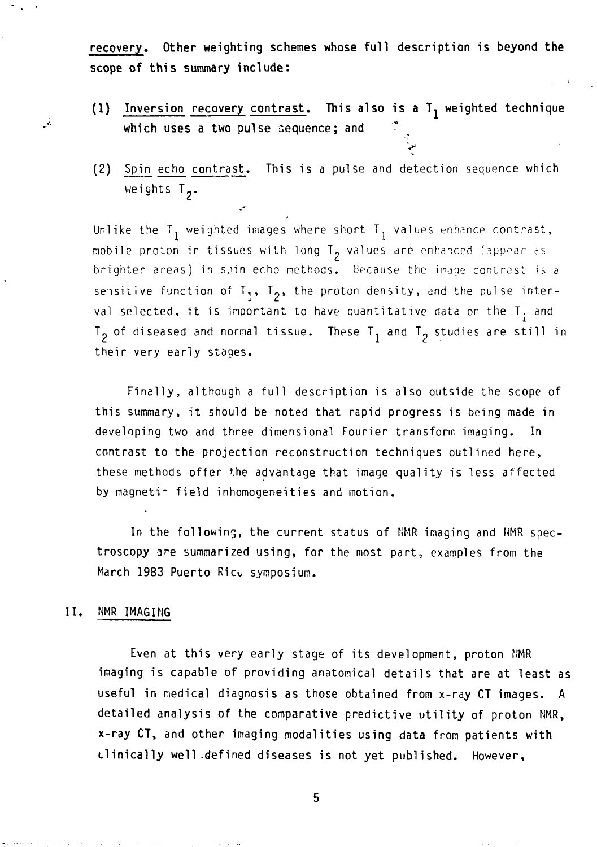**recovery. Other weighting schemes whose full description** is **beyond the scope of this summary include:**

(1) Inversion recovery contrast. This also is a T<sub>1</sub> weighted technique which uses a two pulse sequence; and

 $\ddot{\cdot}$ 

(2) Spin echo contrast. This is a pulse and detection sequence which weights  $T_2$ .

Unlike the T<sub>1</sub> weighted images where short T<sub>1</sub> values enhance contrast, mobile proton in tissues with long  $T^2$  values are enhanced (appear as brighter areas) in spin echo methods. Because the image contrast is a sensitive function of  $T_1$ ,  $T_2$ , the proton density, and the pulse interval selected, it is important to have quantitative data on the  $T_{\gamma}$  and  $T_2$  of diseased and normal tissue. These  $T_1$  and  $T_2$  studies are still in their very early stages.

Finally, although a full description is also outside the scope of this summary, it should be noted that rapid progress is being made in developing two and three dimensional Fourier transform imaging. In contrast to the projection reconstruction techniques outlined here, these methods offer the advantage that image quality is less affected by magnetir field inhomogeneities and motion.

In the following, the current status of NMR imaging and NMR spectroscopy are summarized using, for the most part, examples from the March 1983 Puerto Rico symposium.

### II. NMR IMAGING

بتو

Even at this very early stage of its development, proton NMR imaging is capable of providing anatomical details that are at least as useful in medical diagnosis as those obtained from x-ray CT images. A detailed analysis of the comparative predictive utility of proton NMR, x-ray CT, and other imaging modalities using data from patients with clinically well-defined diseases is not yet published. However,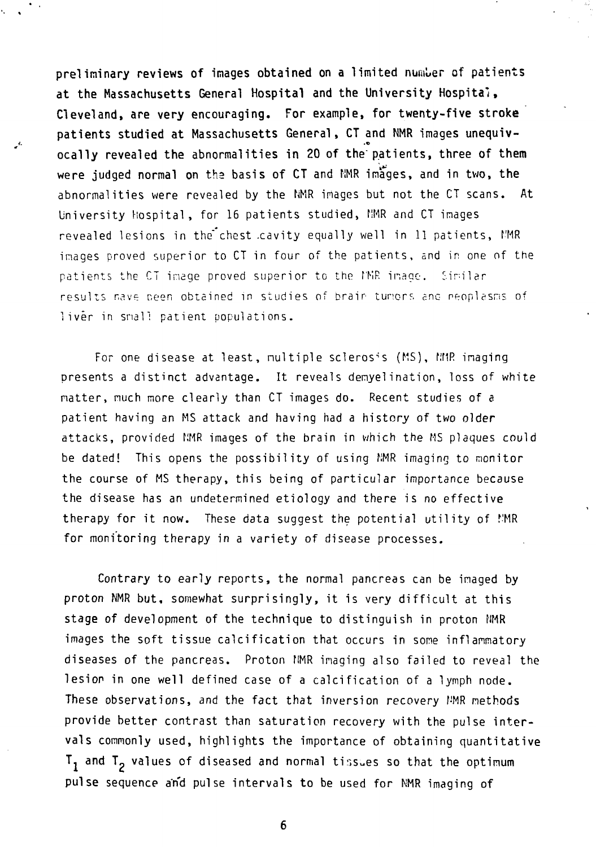**preliminary reviews of images obtained on a** limited number of patients **at the Massachusetts General Hospital and the University Hospital, Cleveland, are very** encouraging. **For** example, **for twenty-five stroke** patients **studied at** Massachusetts General, CT and NMR images **unequiv**ocally revealed the abnormalities **in** 20 of the" patients, three **of** them were judged normal on the basis of CT and NMR images, and in two, the abnormalities were revealed by the NMR images but not the CT scans. At University Hospital , for 16 patients studied, NMR and CT images revealed lesions in the chest cavity equally well in 11 patients, MMR images proved superior to CT in four of the patients, and in one of the patients the CT inage proved superior to the f'MR inago. Similar results nave peen obtained in studies of brain tuners and neoplasms of liver in small patient populations.

For one disease at least, nultiple scleros's (MS), MMR imaging presents a distinct advantage. It reveals demyelination, loss of white natter, nuch more clearly than CT images do. Recent studies of a patient having an MS attack and having had a history of two older attacks, provided NMR images of the brain in which the MS plaques could be dated! This opens the possibility of using NMR imaging to monitor the course of MS therapy, this being of particular importance because the disease has an undetermined etiology and there is no effective therapy for it now. These data suggest the potential utility of f'MR for monitoring therapy in a variety of disease processes.

Contrary to early reports, the normal pancreas can be imaged by proton NMR but, somewhat surprisingly, it is very difficult at this stage of development of the technique to distinguish in proton NMR images the soft tissue calcification that occurs in some inflammatory diseases of the pancreas. Proton NMR imaging also failed to reveal the lesion in one well defined case of a calcification of a lymph node. These observations, and the fact that inversion recovery NMR methods provide better contrast than saturation recovery with the pulse intervals commonly used, highlights the importance of obtaining quantitative  $T_1$  and  $T_2$  values of diseased and normal tissues so that the optimum pulse sequence and pulse intervals to be used for NMR imaging of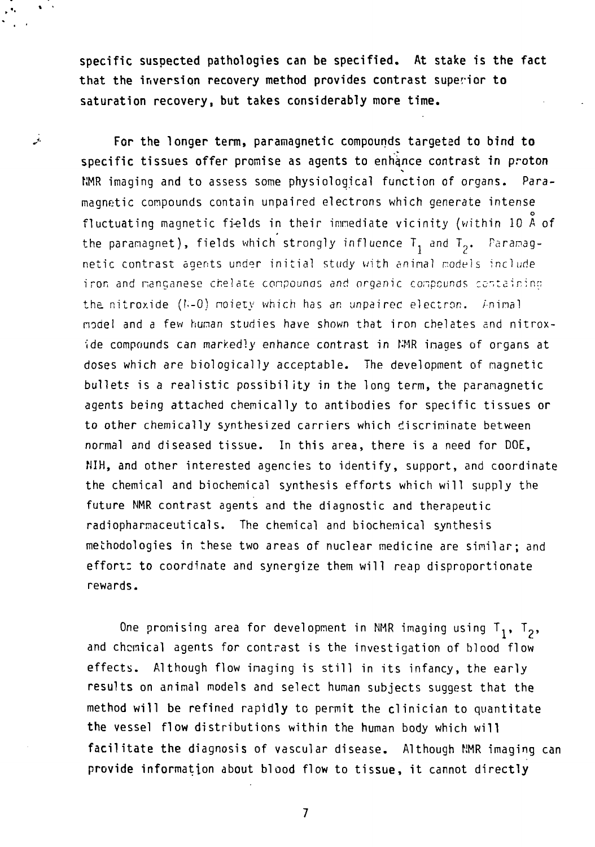**specific suspected pathologies can be specified. At stake is the fact that the inversion recovery method provides contrast superior to saturation recovery, but takes considerably more time.**

نن

**For the longer** term, paramagnetic compounds targeted **to bind to** specific tissues offer promise as agents to enhance contrast in proton NMR imaging and to assess some physiological function of organs. Paramagnetic compounds contain unpaired electrons which generate intense fluctuating magnetic fields in their inmediate vicinity (within 10 A of fluctuating magnetic fi-elds in their immediate vicinity (within 10 A of the paramagnet), fields which strongly influence  $\frac{1}{1}$  and  $\frac{1}{2}$ , raramagnetic contrast agents under initial study with animal models include iron and manganese chelate compounds and organic compounds certain inn the nitroxide  $(k-0)$  moiety which has an unpaired electron,  $k$ -nimal node! and a few human studies have shown that iron chelates and nitrox- •ide compounds can markedly enhance contrast in NMR inages of organs at doses which are biologically acceptable. The development of nagnetic bullets is a realistic possibility in the long term, the paramagnetic agents being attached chemically to antibodies for specific tissues or to other chemically synthesized carriers which discriminate between normal and diseased tissue. In this area, there is a need for DOE, NIH, and other interested agencies to identify, support, and coordinate the chemical and biochemical synthesis efforts which will supply the future NMR contrast agents and the diagnostic and therapeutic radiopharmaceuticals. The chemical and biochemical synthesis methodologies in these two areas of nuclear medicine are similar; and effort: to coordinate and synergize them will reap disproportionate rewards.

One promising area for development in NMR imaging using  $T_1$ ,  $T_2$ , and chemical agents for contrast is the investigation of blood flow effects. Although flow imaging is still in its infancy, the early results on animal models and select human subjects suggest that the method **will be** refined rapidly to permit the clinician to quantitate **the** vessel **flow** distributions within the human body which **will facilitate the** diagnosis of vascular disease. Although NMR imaging can **provide** information about blood flow to tissue, it cannot directly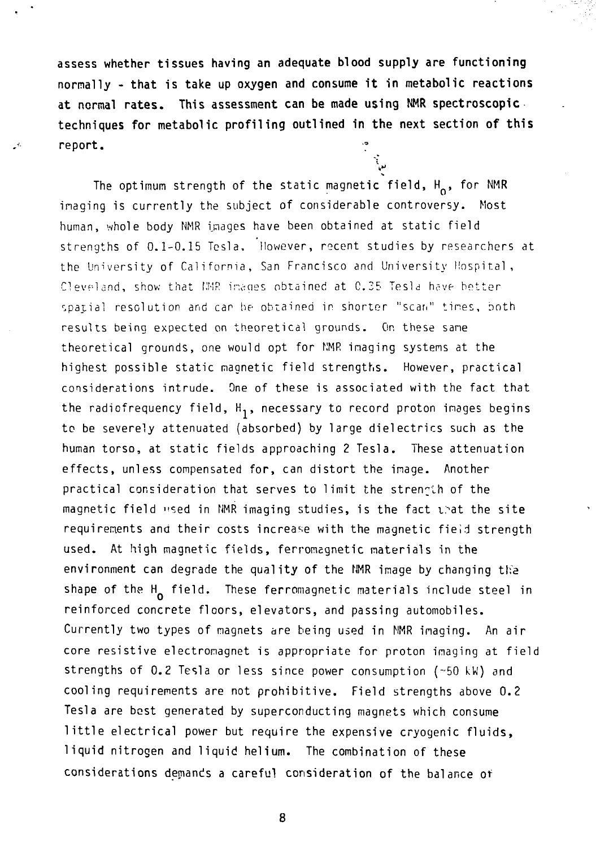**assess whether tissues having an adequate blood supply are functioning normally - that is take up oxygen and consume it in metabolic reactions at normal rates. This assessment can be made using NMR spectroscopic techniques for metabolic profiling outlined in the next section of this** report.

The optimum strength of the static magnetic field,  $H_0$ , for NMR inaging is currently the subject of considerable controversy. Most human, whole body NMR images have been obtained at static field strengths of 0.1-0.15 Tesla, However, recent studies by researchers at the University of California, San Francisco and University Hospital, Cleveland, show that NMR images obtained at C.25 Tesla have better spatial resolution and car he obtained in shorter "scan" tires, both results being expected on theoretical grounds. On these sane theoretical grounds, one would opt for NMR imaging systems at the highest possible static magnetic field strengths. However, practical considerations intrude. One of these is associated with the fact that the radiofrequency field,  $H_1$ , necessary to record proton images begins to be severely attenuated (absorbed) by large dielectrics such as the human torso, at static fields approaching 2 Tesla. These attenuation effects, unless compensated for, can distort the image. Another practical consideration that serves to limit the strength of the magnetic field "sed in NMR imaging studies, is the fact that the site requirements and their costs increase with the magnetic fieid strength used. At high magnetic fields, ferromagnetic materials in the environment can degrade the quality of the NMR image by changing the shape of the  $H_0$  field. These ferromagnetic materials include steel in reinforced concrete floors, elevators, and passing automobiles. Currently two types of magnets are being used in NMR imaging. An air core resistive electromagnet is appropriate for proton imaging at field strengths of 0.2 Tesla or less since power consumption (~50 kW) and cooling requirements are not prohibitive. Field strengths above 0.2 Tesla are best generated by superconducting magnets which consume little electrical power but require the expensive cryogenic fluids, liquid nitrogen and liquid helium. The combination of these considerations demands a careful consideration of the balance of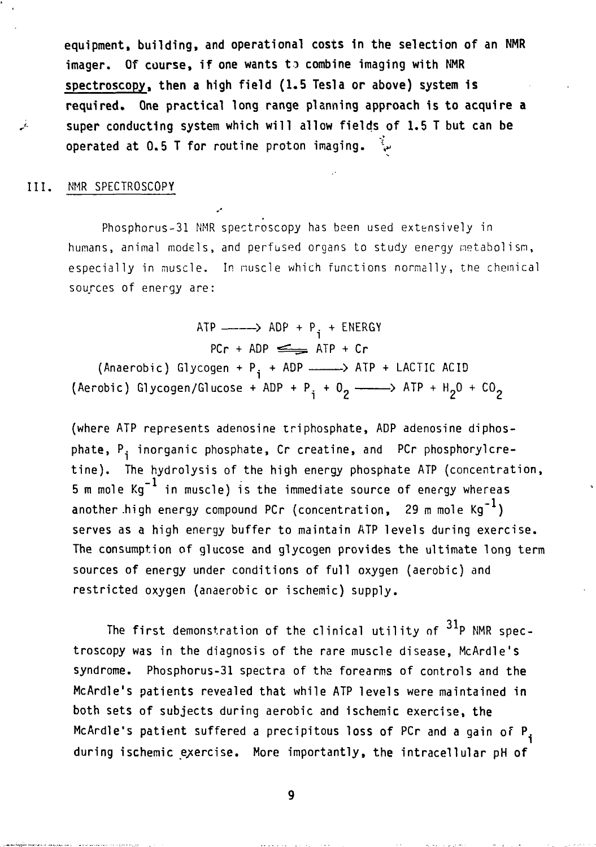**equipment, building, and operational costs in the selection of an NMR imager. Of course, if one wants to combine imaging with NMR spectroscopy, then a high field (1.5 Tesla or above) system is required. One practical long range planning approach is to acquire a super conducting system which will allow fields of 1.5 T but can be operated at 0.5 T for routine proton imaging.** 

### **III.** NMR SPECTROSCOPY

بني

Phosphorus-31 NMR spectroscopy has been used extensively in humans, animal models, and perfused organs to study energy metabolism, especially in muscle. In nuscle which functions normally, the chemical sources of energy are:

 $ATP$   $\longrightarrow$   $ADP + P$ <sub>i</sub>  $+$   $ENERGY$  $PCr + ADP \leq RTP + Cr$ (Anaerobic) Glycogen +  $P_i$  + ADP  $\longrightarrow$  ATP + LACTIC ACID (Aerobic) Glycogen/Glucose + ADP + P<sub>i</sub> + O<sub>2</sub> - ATP + H<sub>2</sub>O + CO<sub>2</sub>

(where ATP represents adenosine triphosphate, ADP adenosine diphosphate, P<sub>i</sub> inorganic phosphate, Cr creatine, and PCr phosphorylcretine). The hydrolysis of the high energy phosphate ATP (concentration, 5 m mole  $Kq^{-1}$  in muscle) is the immediate source of energy whereas another high energy compound PCr (concentration, 29 m mole  $Kg^{-1}$ ) serves as a high energy buffer to maintain ATP levels during exercise. The consumption of glucose and glycogen provides the ultimate long term sources of energy under conditions of full oxygen (aerobic) and restricted oxygen (anaerobic or ischemic) supply.

The first demonstration of the clinical utility of  $31P$  NMR spectroscopy was in the diagnosis of the rare muscle disease, McArdle's syndrome. Phosphorus-31 spectra of the forearms of controls and the McArdle's patients revealed that while ATP levels were maintained in both sets of subjects during aerobic and ischemic exercise, the McArdle's patient suffered a precipitous loss of PCr and a gain of P. during ischemic exercise. More importantly, the intracellular pH of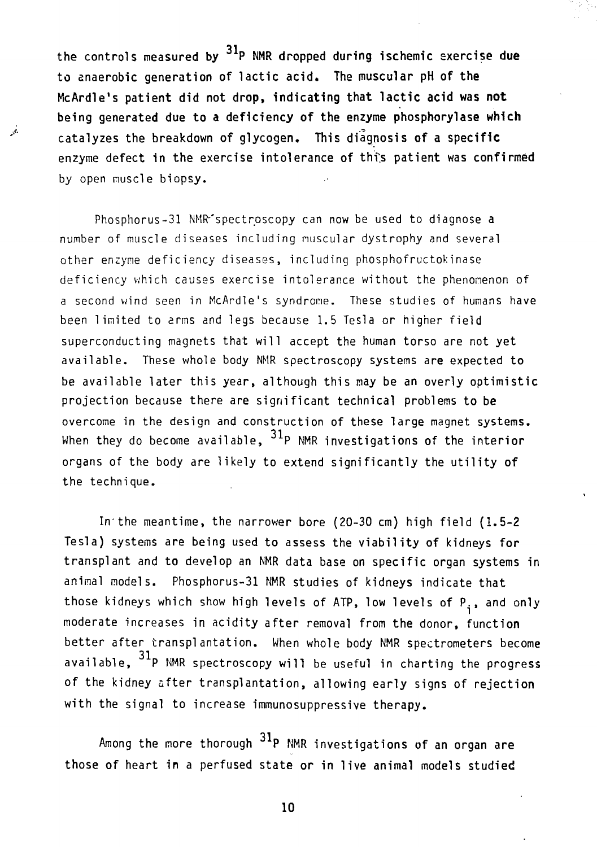the controls measured by P NMR dropped during ischemic sxercise **due** to anaerobic generation of lactic acid. The muscular pH of **the** McArdle's patient did not drop, indicating that lactic acid was **not** being generated due to a deficiency of the enzyme phosphorylase which catalyzes the breakdown of glycogen. This diagnosis of a specific enzyme defect in the exercise intolerance of this patient was confirmed by open muscle biopsy.

 $\mathcal{L}$ 

Phosphorus-31 NMR<sup>-</sup>spectroscopy can now be used to diagnose a number of muscle diseases including nuscular dystrophy and several other enzyme deficiency diseases, including phosphofructokinase deficiency which causes exercise intolerance without the phenomenon of a second wind seen in McArdle's syndrome. These studies of humans have been limited to arms and legs because 1.5 Tesla or higher field superconducting magnets that will accept the human torso are not yet available. These whole body NMR spectroscopy systems are expected to be available later this year, although this may be an overly optimistic projection because there are significant technical problems to be overcome in the design and construction of these large magnet systems. When they do become available,  $^{31}$ P NMR investigations of the interior organs of the body are likely to extend significantly the utility of the technique.

In'the meantime, the narrower bore (20-30 cm) high field (1.5-2 Tesla) systems are being used to assess the viability of kidneys for transplant and to develop an NMR data base on specific organ systems in animal models. Phosphorus-31 NMR studies of kidneys indicate that those kidneys which show high levels of ATP, low levels of  $P_i$ , and only moderate increases in acidity after removal from the donor, function better after transplantation. When whole body NMR spectrometers become available,  $31p$  NMR spectroscopy will be useful in charting the progress of the kidney after transplantation, allowing early signs of rejection with the signal to increase immunosuppressive therapy.

Among the more thorough  $\mathrm{^{31}P}$  NMR investigations of an organ are those of heart in a perfused state or in live animal models studied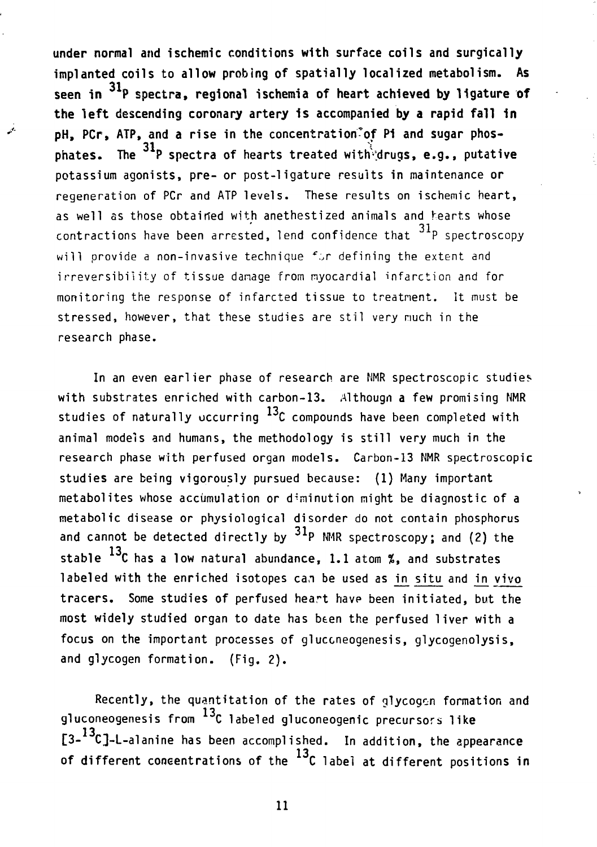under normal and ischemic conditions with surface coils and surgically implanted coils to allow probing of spatially localized metabolism. As seen in  ${}^{31}$ P spectra, regional ischemia of heart achieved by ligature of the left descending coronary artery is accompanied by a rapid fall in pH, PCr, ATP, and a rise in the concentration<sup>2</sup> of Pi and sugar phos- $\mathbf{^{31}P}$  spectra of hearts treated with phates. .<br>notassium agonists, pre- or post-ligature results in maintenance or regeneration of PCr and ATP levels. These results on ischemic heart. as well as those obtained with anethestized animals and hearts whose contractions have been arrested, lend confidence that  $31<sup>p</sup>$  spectroscopy will orovide a non-invasive technique for defining the extent and irreversibility of tissue damage from myocardial infarction and for monitoring the response of infarcted tissue to treatment. It must be stressed, however, that these studies are stil very much in the research phase.

In an even earlier phase of research are NMR spectroscopic studies with substrates enriched with carbon-13. Althougn a few promising NMR studies of naturally occurring  $^{13}$ C compounds have been completed with animal models and humans, the methodology is still very much in the research phase with perfused organ models. Carbon-13 NMR spectroscopic studies are being vigorously pursued because: (1) Many important metabolites whose accumulation or diminution might be diagnostic of a metabolic disease or physiological disorder do not contain phosphorus and cannot be detected directly by  $31p$  NMR spectroscopy; and (2) the stable  $^{13}$ C has a low natural abundance, 1.1 atom %, and substrates labeled with the enriched isotopes can be used as in situ and in vivo tracers. Some studies of perfused heart have been initiated, but the most widely studied organ to date has been the perfused liver with a focus on the important processes of gluccneogenesis, glycogenolysis, and glycogen formation. (Fig. 2).

Recently, the quantitation of the rates of glycogen formation and gluconeogenesis from  $^{13}$ C labeled gluconeogenic precursors like [3-<sup>13</sup>C]-L-alanine has been accomplished. In additio**n,** the appearance of different concentrations of the  $^{13}$ C label at different positions in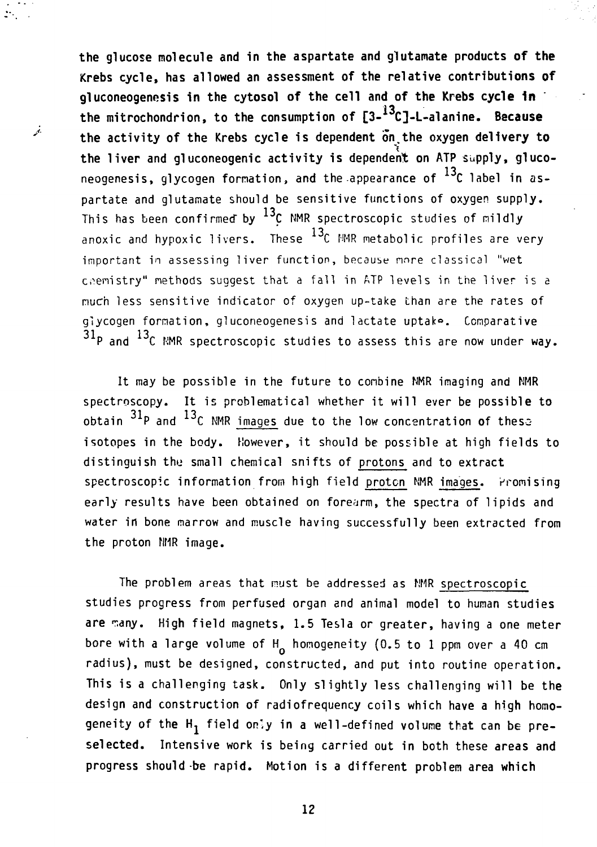**the glucose molecule and in the aspartate and glutamate products of the Krebs cycle, has allowed an assessment of the relative contributions of gluconeogenosis in the cytosol of the cell and of the Krebs cycle In** the mitrochondrion, to the consumption of [3-<sup>13</sup>C]-L-alanine. Because **the activity of the Krebs cycle is dependent on.the oxygen delivery to the liver and gluconeogenic activity is dependent on ATP supply, gluco**neogenesis, glycogen formation, and the appearance of  $^{13}$ C label in aspartate and glutamate should be sensitive functions of oxygen supply. This has been confirmed by  $^{13}$ C NMR spectroscopic studies of mildly anoxic and hypoxic livers. These  $^{13}$ C NMR metabolic profiles are very important in assessing liver function, because more classical "wet chemistry" methods suggest that a fall in ATP levels in the liver is a much less sensitive indicator of oxygen up-take than are the rates of glycogen formation, gluconeogenesis and lactate uptak°. Comparative  $31p$  and  $13c$  NMR spectroscopic studies to assess this are now under way.

It may be possible in the future to combine NMR imaging and NMR spectroscopy. It is problematical whether it will ever be possible to obtain  $31p$  and  $13c$  NMR images due to the low concentration of these isotopes in the body. However, it should be possible at high fields to distinguish the small chemical snifts of protons and to extract spectroscopic information from high field proton NMR images. Promising early results have been obtained on forearm, the spectra of lipids and water in bone marrow and muscle having successfully been extracted from the proton NMR image.

the proton NMR image.

 $\mathcal{D}_{\mathcal{A}}$  .

فجر

The problem areas that must be addressed as NMR spectroscopic studies progress from perfused organ and animal model to human studies are many. High field magnets, 1.5 Tesla or greater, having a one meter bore with a large volume of  $H_0$  homogeneity (0.5 to 1 ppm over a 40 cm radius), must be designed, constructed, and put into routine operation. This is a challenging task. Only slightly less challenging will be the design and construction of radiofrequency coils which have **a** high homogeneity of the H<sub>1</sub> field only in a well-defined volume that can be pre**selected.** Intensive **work** is being carried out in both these areas **and progress should be rapid. Motion is a different problem area which**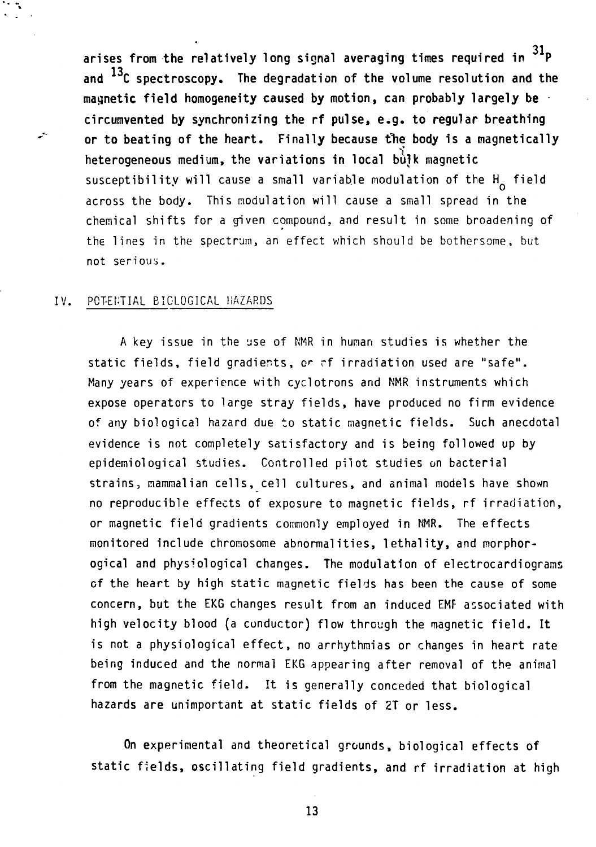**31 arises from the relatively long signal averaging times required in P** and <sup>13</sup>C spectroscopy. The degradation of the volume resolution and the **magnetic field homogeneity caused by motion, can probably largely be circumvented by synchronizing the rf pulse, e.g. to regular breathing** or to beating of the heart. Finally because the body is a magnetically heterogeneous medium, the variations in local bulk magnetic susceptibility will cause a small variable modulation of the  $H_0$  field across the body. This modulation will cause a small spread in the chemical shifts for a given compound, and result in some broadening of the lines in the spectrum, an effect which should be bothersome, but not serious.

### IV. POTENTIAL BIOLOGICAL HAZARDS

ليعبد

A key issue in the use of NMR in human studies is whether the static fields, field gradients, or rf irradiation used are "safe". Many years of experience with cyclotrons and NMR instruments which expose operators to large stray fields, have produced no firm evidence of any biological hazard due to static magnetic fields. Such anecdotal evidence is not completely satisfactory and is being followed up by epidemiological studies. Controlled pilot studies on bacterial strains, mammalian cells, cell cultures, and animal models have shown no reproducible effects of exposure to magnetic fields, rf irradiation, or magnetic field gradients commonly employed in NMR. The effects monitored include chromosome abnormalities, lethality, and morphorogical and physiological changes. The modulation of electrocardiograms of the heart by high static magnetic fields has been the cause of some concern, but the EKG changes result from an induced EMF associated with high velocity blood (a conductor) flow through the magnetic field. It is not a physiological effect, no arrhythmias or changes in heart rate being induced and the normal EKG appearing after removal of the animal from the magnetic field. It is generally conceded that biological hazards are unimportant at static fields of 2T or less.

On experimental and theoretical grounds, biological effects of static fields, oscillating field gradients, **and** rf irradiation at high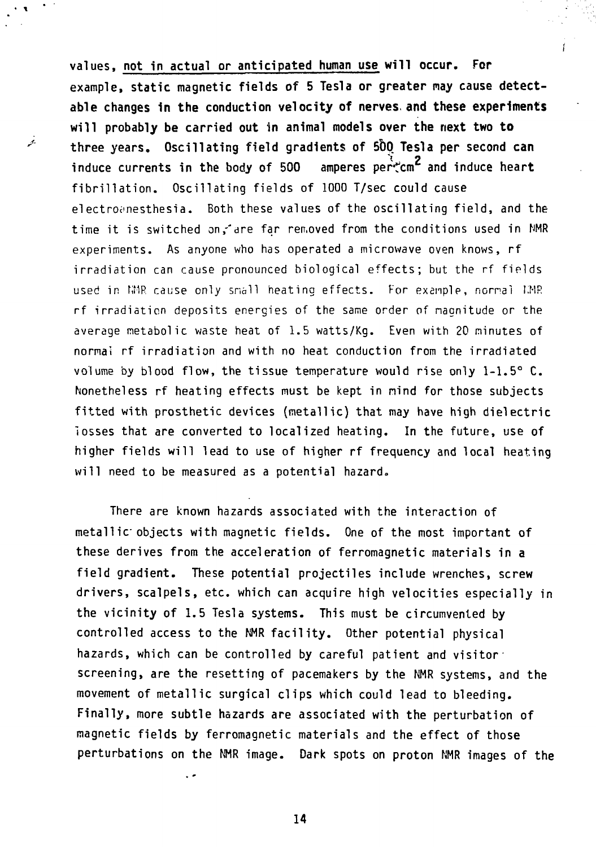**values, not in actual or anticipated human use will occur. For example, static magnetic fields of 5 Tesla or greater may cause detectable changes In the conduction velocity of nerves, and these experiments will probably be carried out in animal models over the next two to three years. Oscillating field gradients of 50Q Tesla per second can** induce currents in the body of 500 amperes pertom<sup>2</sup> and induce heart **fibrillation. Oscillating fields of 1000 T/sec could cause** electrotmesthesia. Both these **values of the oscillating field, and the** time it is switched on,-'are **far** ren.oved from the conditions used in **NMR** experiments. As anyone who has operated a microwave oven knows, **rf** irradiation can cause pronounced biological effects; but the rf fields used in NMP. cause only snail heating effects. For example, nornal KMR rf irradiation deposits energies of the same order of nagnitude or the average metabolic waste heat of 1.5 watts/Kg. **Even** with 20 minutes **of normai rf irradiation and with no heat conduction from the irradiated** volume by **blood flow, the tissue temperature would rise only 1-1.5° C. Nonetheless rf heating effects must be kept in nind for those subjects fitted with prosthetic devices (metallic) that may have high dielectric losses that are converted to localized heating. In the future, use of higher fields will lead to use of higher rf frequency and local heating will need to be measured as a potential hazard.**

j.

**There are known hazards associated with the interaction of metallic objects with magnetic fields. One of the most important of these derives from the acceleration of ferromagnetic materials in a field gradient. These potential projectiles include wrenches, screw drivers, scalpels, etc. which can acquire high velocities especially in the vicinity of 1.5 Tesla systems. This must be circumvented by controlled access to the NMR facility. Other potential physical hazards, which can be controlled by careful patient and visitor screening, are the resetting of pacemakers by the NMR systems, and the movement of metallic surgical clips which could lead to bleeding. Finally, more subtle hazards are associated with the perturbation of magnetic fields by ferromagnetic materials and the effect of those perturbations on the NMR image. Dark spots on proton NMR images of the**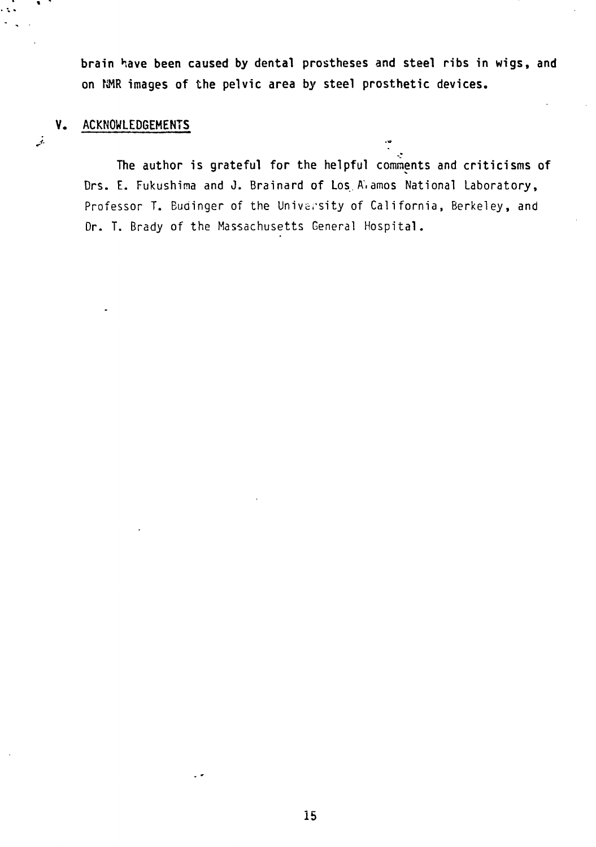**brain have been caused by dental prostheses and steel ribs in wigs, and on NMR images of the pelvic area by steel prosthetic devices.**

# **V. ACKNOWLEDGEMENTS**

e to

 $\mathcal{L}$ 

 $\ddot{\psi}$ **The author is grateful for the helpful** comments and **criticisms of** Drs. E. Fukushina and J. Brainard of Los.A.amos National Laboratory, Professor T. Budinger of the University of California, Berkeley, and Dr. T. Brady of the Massachusetts General Hospital.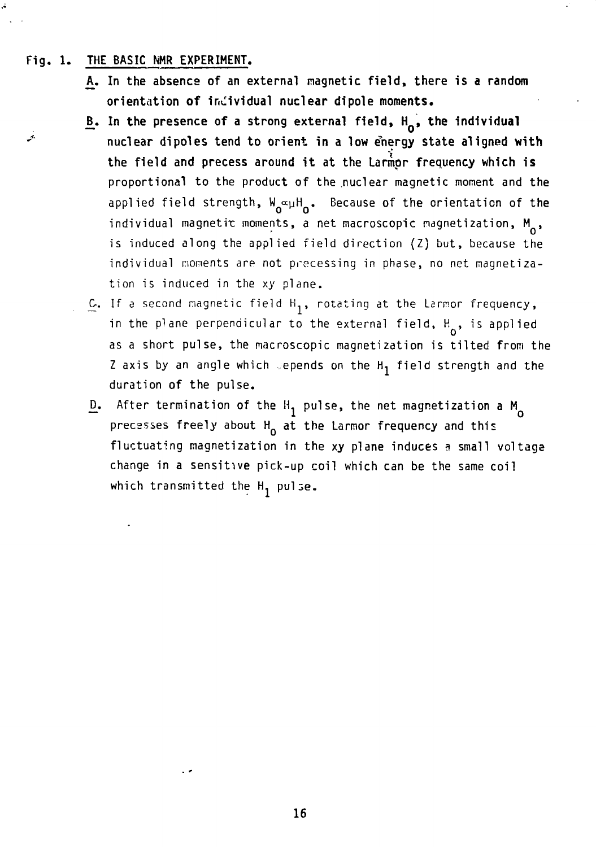### **Fig. 1. THE BASIC NHR EXPERIMENT.**

- **A. In the absence of an external magnetic field, there is a random orientation of individual nuclear dipole moments.**
- B. In the presence of a strong external field, H<sub>n</sub>, the individual **'\* nuclear dipoles tend to orient in a low Energy state aligned with the field and precess around it at the Larmpr frequency which is** proportional to the product of the nuclear magnetic moment and the applied field strength,  $W_{\alpha} \propto \mu H_{\alpha}$ . Because of the orientation of the individual magnetic moments, a net macroscopic magnetization,  $M_{\odot}$ , is induced along the applied field direction (Z) but, because the individual moments are not precessing in phase, no net magnetization is induced in the xy plane.
	- $C$ . If a second magnetic field  $H_1$ , rotating at the Larmor frequency, in the plane perpendicular to the external field,  $H_{0}$ , is applied as a short pulse, the macroscopic magnetization is tilted from the Z axis by an angle which sepends on the  $H_1$  field strength and the duration of the pulse.
	- $\underline{D}$ . After termination of the  $H_1$  pulse, the net magnetization a  $M_0$ precesses freely about  $H_0$  at the Larmor frequency and this fluctuating magnetization in the xy plane induces a small voltage change in a sensitive pick-up coil which can be the same coil which transmitted the  $H_1$  pulse.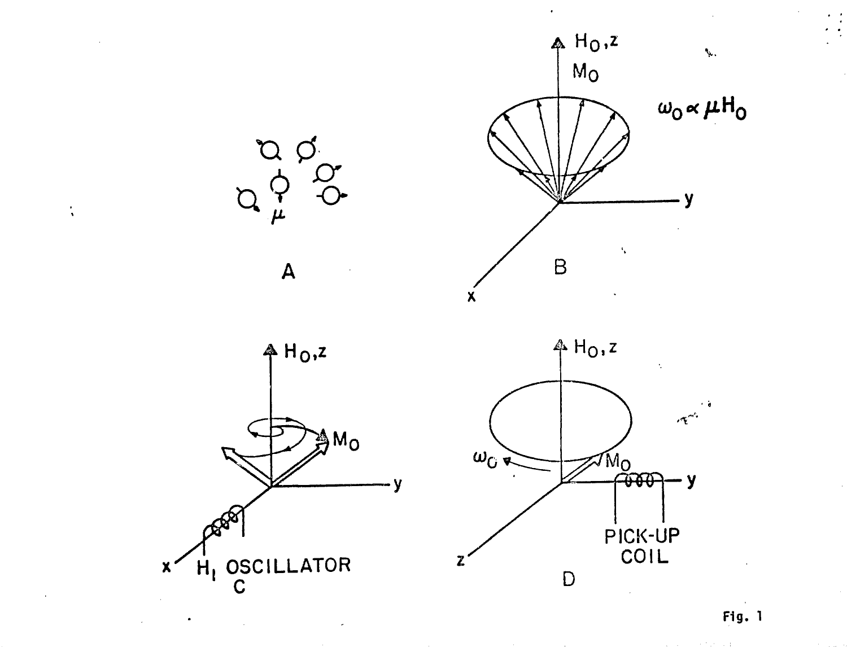

 $\ddot{\cdot}$ 

**F1g. 1**

A Port of the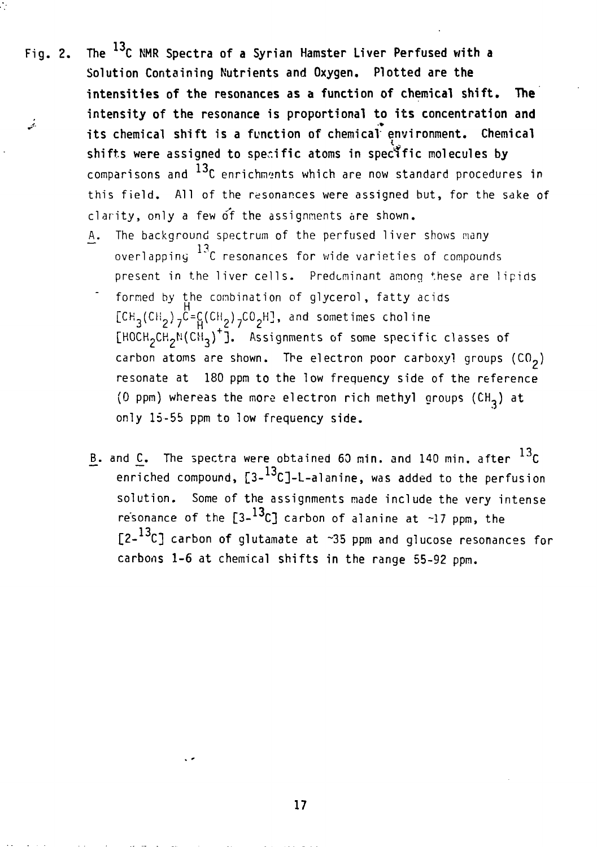Fig. 2. The  $^{13}$ C NMR Spectra of a Syrian Hamster Liver Perfused with a **Solution Containing Nutrients and Oxygen. Plotted are the intensities of the resonances as a function of chemical shift. The intensity of the resonance is proportional to its concentration and** رنمي<br>النمي **its chemical shift is a function of chemical environment. Chemical shifts were assigned to specific atoms in specific molecules by** comparisons and  $^{13}$ C enrichments which are now standard procedures in this field. All of the resonances were assigned but, for the sake of clarity, only a few of the assignments are shown.

Ò

- A. The background spectrum of the perfused liver shows many overlapping \*C resonances for wide varieties of compounds present in the liver cells. Predominant among these are lipids
- formed by the combination of glycerol, fatty acids  $[CH_3(CH_2)7^C=\frac{C}{H}(CH_2)7^{CO}2^{H}$ , and sometimes choline  $[HOCH_2CH_2N(CH_3)^+]$ . Assignments of some specific classes of carbon atoms are shown. The electron poor carboxy! groups  $(CO_2)$ resonate at 180 ppm to the low frequency side of the reference (0 ppm) whereas the more electron rich methyl groups (CH<sub>3</sub>) at only 15-55 ppm to low frequency side.
- B. and  $C$ . The spectra were obtained 60 min. and 140 min. after  $^{13}C$ enriched compound,  $[3-13c]$ -L-alanine, was added to the perfusion solution. Some of the assignments made include the very intense resonance of the  $[3-13c]$  carbon of alanine at  $\sim 17$  ppm, the [2-<sup>13</sup>C] carbon of glutamate at ~35 ppm and glucose resonances for carbons 1-6 at chemical shifts in the range 55-92 ppm.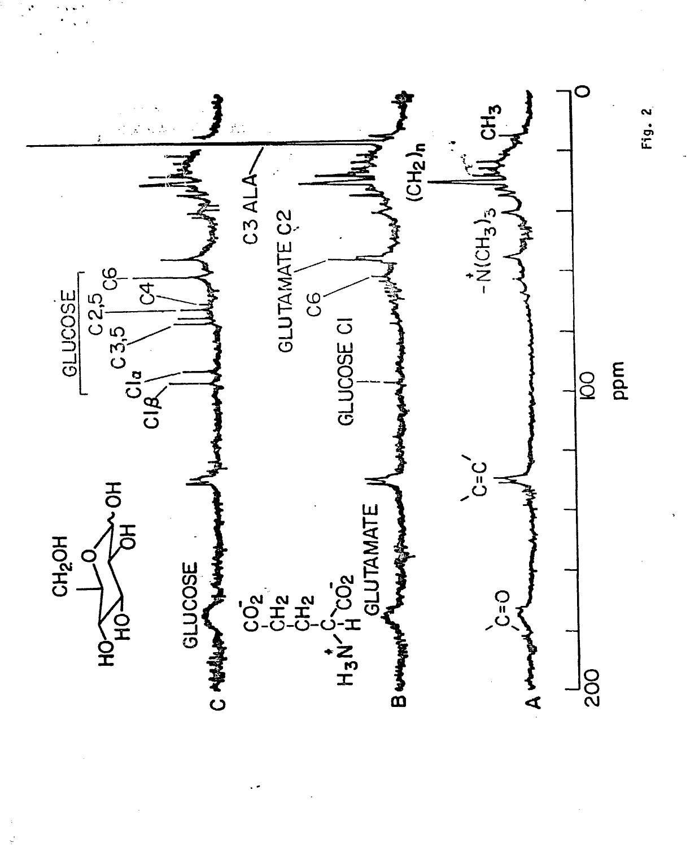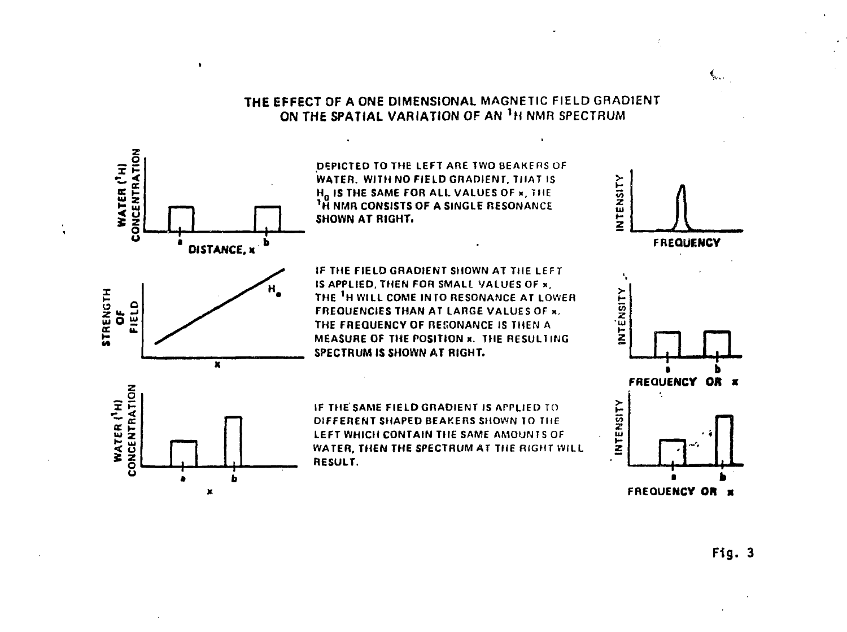# **THE EFFECT** OF **A ONE DIMENSIONAL** MAGNETIC FIELD GRADIENT ON THE SPATIAL VARIATION OF AN <sup>1</sup>H NMR SPECTRUM

**D5PICTEDTOTHE LEFT ARE TWO BEAKERS OF WATER. WITH NO FIELD GRADIENT. THAT IS Ho IS THE SAME FOR ALL VALUES OF \*, THE \*H NMR CONSISTS OF A SINGLE RESONANCE** SHOWN AT RIGHT.

*n* **a**

 $\bullet$ 

**DISTANCE, K**

н,

**a b x**

5<br>9 . 9 **5 w. \_i ts o UJ tr u.**

CONCENTRATION WATER (<sup>1</sup>H)

> z č

**WATER ('H)** 

**IF THE FIELOGRADIENT SHOWN AT THE LEFT IS APPLIED, THEN FOR SMALL VALUES OF x, THE 'H WILL COME INTO RESONANCE AT LOWER FREQUENCIES THAN AT LARGE VALUES OF x. THE FREQUENCY OF RESONANCE IS THEN A MEASURE OF THE POSITION x. THE RESULTING SPECTRUM IS SHOWN AT RIGHT.**





 $\mathbf{C}_{\mathbf{A} \cdot \mathbf{A} \cdot \mathbf{B}}$ 

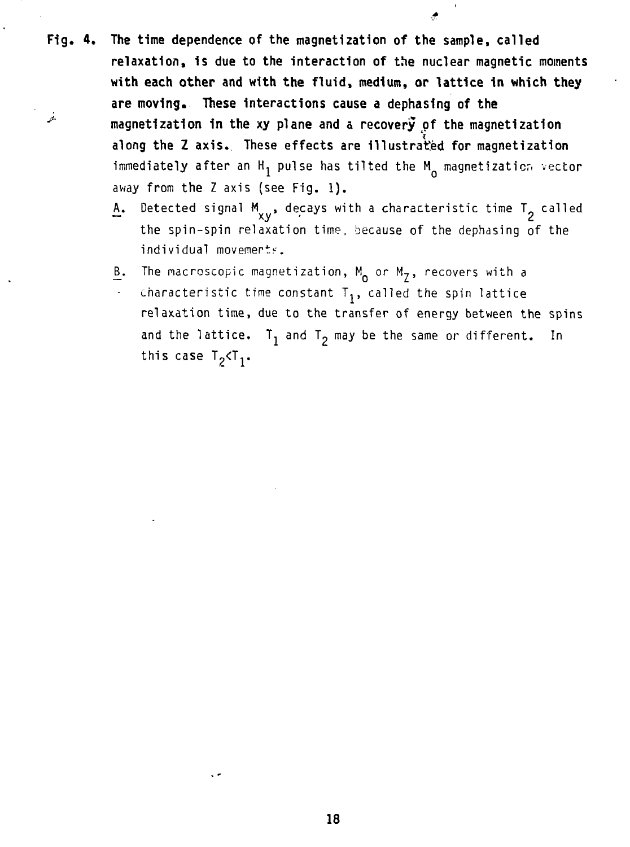- **Fig. 4. The time dependence of the magnetization of the sample, called relaxation, is due to the interaction of the nuclear magnetic moments with each other and with the fluid, medium, or lattice In which they are moving. These Interactions cause a dephasing of the '" magnetization In the xy plane and a recovery of the magnetization along the Z axis. These effects are illustrated for magnetization** immediately after an H<sub>1</sub> pulse has tilted the M<sub>0</sub> magnetization vector away from the Z axis (see Fig. 1).
	- A. Detected signal  $M_{\rm v}$ , decays with a characteristic time T<sub>2</sub> called the spin-spin relaxation time, because of the dephasing of the individual movements.

€

- The macroscopic magnetization,  $M_0$  or  $M_7$ , recovers with a
- <u>B</u>. The macroscopic magnetization, M<sub>o</sub> or M<sub>Z</sub>, recovers with a<br>- characteristic time constant T<sub>1</sub>, called the spin lattice relaxation time, due to the transfer of energy between the spins and the lattice.  $T_1$  and  $T_2$  may be the same or different. In and the lattice or different. In the same of  $\Delta T$ this case like  $\mathbf{r}$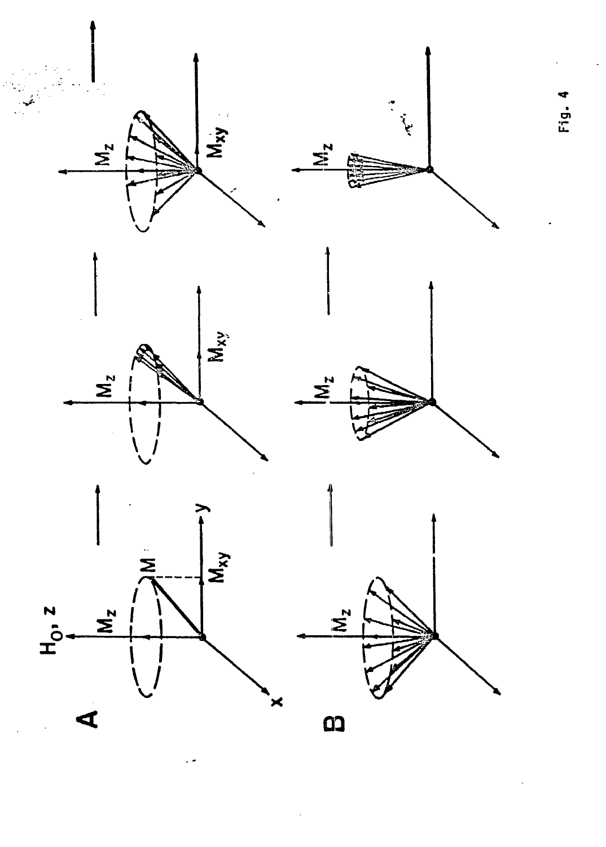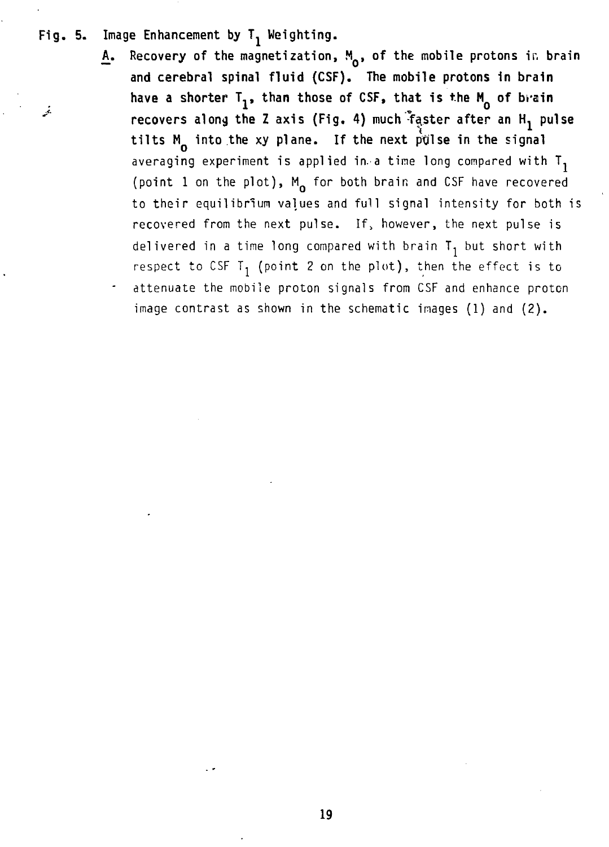# Fig. 5. Image Enhancement by T<sub>1</sub> Weighting.

A. Recovery of the magnetization, M<sub>o</sub>, of the mobile protons in brain **and cerebral spinal fluid (CSF). The mobile protons in brain** have a shorter T<sub>1</sub>, than those of CSF, that is the M<sub>n</sub> of brain *r* **recovers along the Z axis (Fig. 4)** much <sup>\*</sup>faster after an H<sub>1</sub> pulse **tilts M into the xy plane. If the next pfilse in the signal** averaging experiment is applied in a time long compared with  $T_1$ (point 1 on the plot),  $M_{0}$  for both brain and CSF have recovered to their equilibrium values and full signal intensity for both is recovered from the next pulse. If, however, the next pulse is delivered in a time long compared with brain  $T_1$  but short with respect to CSF T<sub>1</sub> (point 2 on the plot), then the effect is to attenuate the mobile proton signals from CSF and enhance proton image contrast as shown in the schematic images (1) and (2).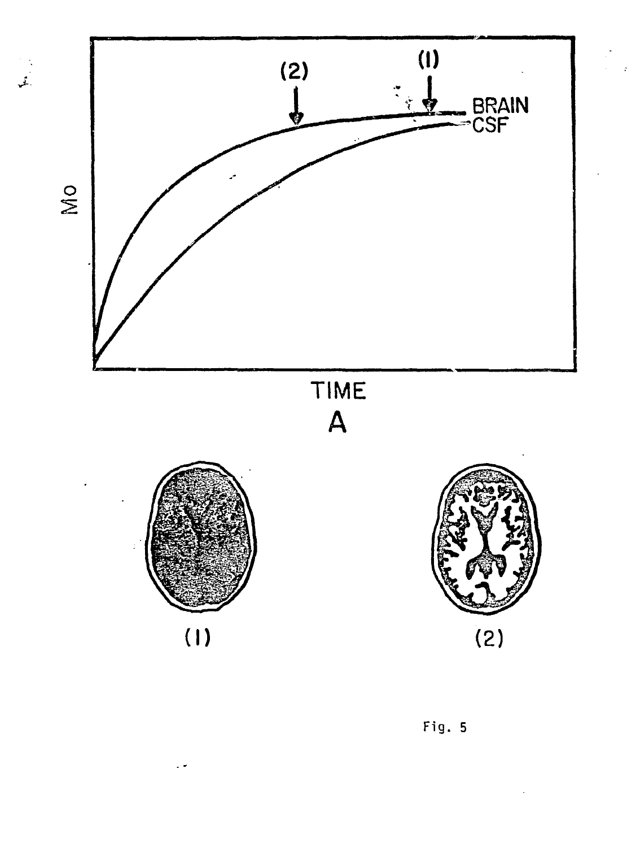

 $\ddot{\phantom{0}}$ 

![](_page_24_Figure_1.jpeg)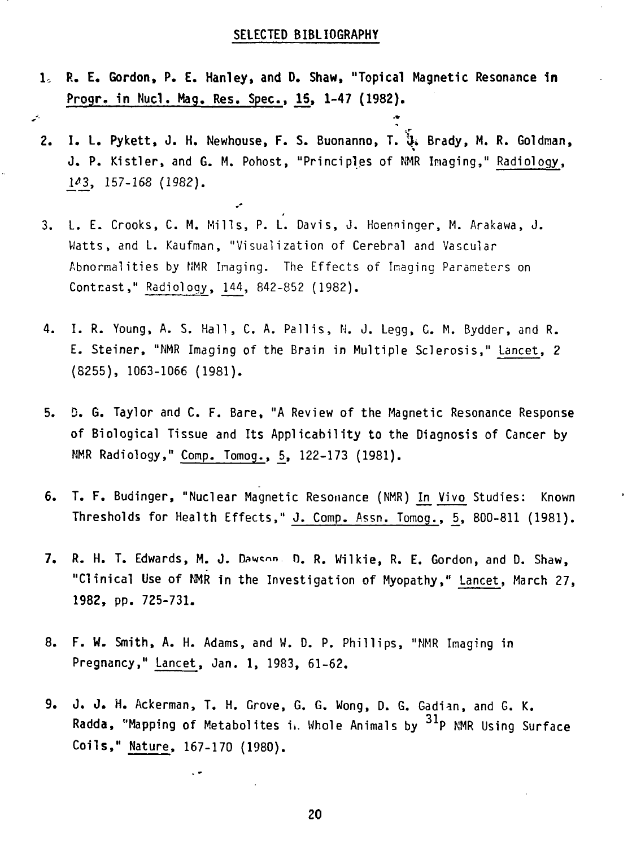# **SELECTED BIBLIOGRAPHY**

**1. R. E. Gordon, P. E. Hanley, and D. Shaw, "Topical Magnetic Resonance in Progr. in Nuci. Mag. Res. Spec, 15, 1-47 (1982).**

. As a construction of the construction of the construction of the construction of the construction of the construction of the construction of the construction of the construction of the construction of the construction o

- **2. I. L. Pykett, J. H.** Newhouse, **F. S. Buonanno, T.** & **Brady, M.** R. **Goldman, J. P.** Kistler, and G. M. Pohost, "Principles of NMR Imaging," Radiology, \f\_3\_, 157-168 (1982).
- 3. L. E. Crooks, C. M. Mills, P. L. Davis, J. Hoenninger, M. Arakawa, J. Watts, and L. Kaufman, "Visualization of Cerebral and Vascular Abnormalities by NMR Imaging. The Effects of Imaging Parameters on Contrast," Radiology, 144, 842-852 (1982).
- 4. I. R. Young, A. S. Hall, C. A. Pallis, N. J. Legg, G. M. Bydder, and R. E. Steiner, "NMR Imaging of the Brain in Multiple Sclerosis," Lancet, 2 (8255), 1063-1066 (1981).
- 5. D. G. Taylor and C. F. Bare, "A Review of the Magnetic Resonance Response of Biological Tissue and Its Applicability to the Diagnosis of Cancer by NMR Radiology," Comp. Tomog., 5, 122-173 (1981).
- 6. T. F. Budinger, "Nuclear Magnetic Resonance (NMR) In Vivo Studies: Known Thresholds for Health Effects," J. Comp. Assn. Tomog., 5, 800-811 (1981).
- 7. R. H. T. Edwards, M. J. Dawson, D. R. Wilkie, R. E. Gordon, and D. Shaw, "Clinical Use of NMR in the Investigation of Myopathy," Lancet, March 27, 1982, pp. 725-731.
- 8. F. W. Smith, A. H. Adams, and W. D. P. Phillips, "NMR Imaging in Pregnancy," Lancet, Jan. 1, 1983, 61-62.
- 9. J. J. H. Ackerman, T. H. Grove, G. G. Wong, D. G. Gadian, and G. K. Radda, "Mapping of Metabolites i. Whole Animals by <sup>31</sup>P NMR Using Surface Coils," Nature, 167-170 (1980).